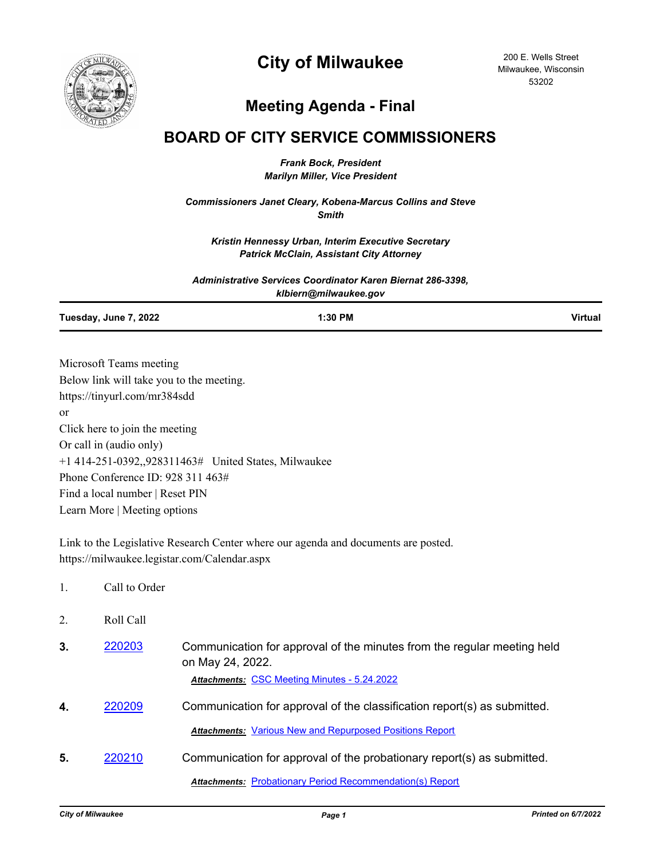

200 E. Wells Street Milwaukee, Wisconsin 53202

## **Meeting Agenda - Final**

## **BOARD OF CITY SERVICE COMMISSIONERS**

*Frank Bock, President Marilyn Miller, Vice President*

*Commissioners Janet Cleary, Kobena-Marcus Collins and Steve Smith*

*Kristin Hennessy Urban, Interim Executive Secretary Patrick McClain, Assistant City Attorney*

*Administrative Services Coordinator Karen Biernat 286-3398, klbiern@milwaukee.gov*

**Tuesday, June 7, 2022 1:30 PM Virtual**

Microsoft Teams meeting Below link will take you to the meeting. https://tinyurl.com/mr384sdd or Click here to join the meeting Or call in (audio only) +1 414-251-0392,,928311463# United States, Milwaukee Phone Conference ID: 928 311 463# Find a local number | Reset PIN Learn More | Meeting options

Link to the Legislative Research Center where our agenda and documents are posted. https://milwaukee.legistar.com/Calendar.aspx

- 1. Call to Order
- 2. Roll Call
- **3.** [220203](http://milwaukee.legistar.com/gateway.aspx?m=l&id=/matter.aspx?key=62328) Communication for approval of the minutes from the regular meeting held on May 24, 2022. *Attachments:* [CSC Meeting Minutes - 5.24.2022](http://Milwaukee.legistar.com/gateway.aspx?M=F&ID=9787f7ef-edad-495d-bfd2-9deb90c814b8.pdf)
- **4.** [220209](http://milwaukee.legistar.com/gateway.aspx?m=l&id=/matter.aspx?key=62334) Communication for approval of the classification report(s) as submitted. *Attachments:* [Various New and Repurposed Positions Report](http://Milwaukee.legistar.com/gateway.aspx?M=F&ID=1f9b8fa2-241d-4003-ad9c-2ea7aa2ab9a9.pdf)
- **5.** [220210](http://milwaukee.legistar.com/gateway.aspx?m=l&id=/matter.aspx?key=62335) Communication for approval of the probationary report(s) as submitted.

*Attachments:* [Probationary Period Recommendation\(s\) Report](http://Milwaukee.legistar.com/gateway.aspx?M=F&ID=2bdb9f1d-6593-4b4d-a212-1ebf36738c9f.pdf)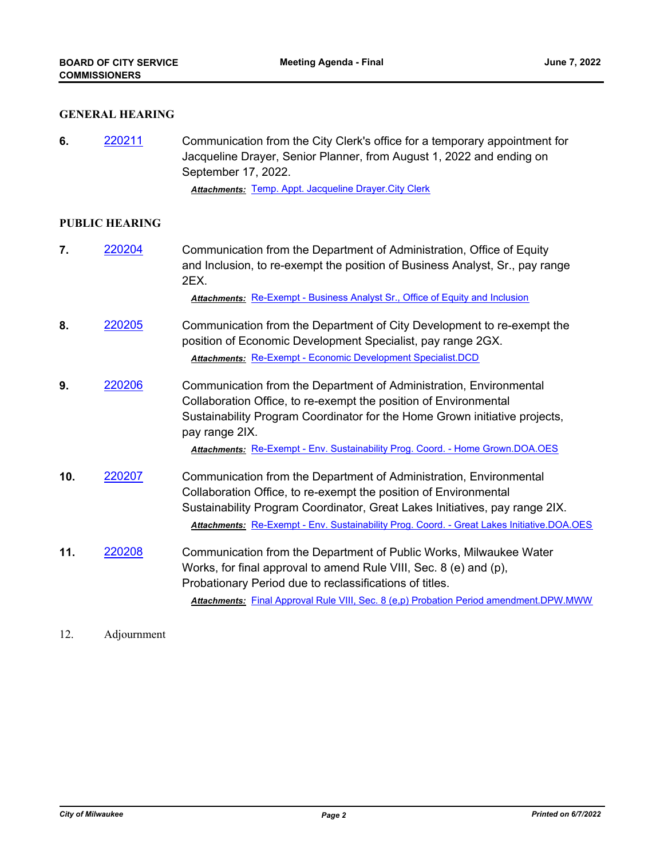## **GENERAL HEARING**

**6.** [220211](http://milwaukee.legistar.com/gateway.aspx?m=l&id=/matter.aspx?key=62336) Communication from the City Clerk's office for a temporary appointment for Jacqueline Drayer, Senior Planner, from August 1, 2022 and ending on September 17, 2022.

*Attachments:* [Temp. Appt. Jacqueline Drayer.City Clerk](http://Milwaukee.legistar.com/gateway.aspx?M=F&ID=2924c62a-857a-41d2-a967-cb48b9182178.pdf)

## **PUBLIC HEARING**

**7.** [220204](http://milwaukee.legistar.com/gateway.aspx?m=l&id=/matter.aspx?key=62329) Communication from the Department of Administration, Office of Equity and Inclusion, to re-exempt the position of Business Analyst, Sr., pay range 2EX.

*Attachments:* [Re-Exempt - Business Analyst Sr., Office of Equity and Inclusion](http://Milwaukee.legistar.com/gateway.aspx?M=F&ID=69e146ed-9590-4a1a-ad5f-7f329985ab7a.pdf)

- **8.** [220205](http://milwaukee.legistar.com/gateway.aspx?m=l&id=/matter.aspx?key=62330) Communication from the Department of City Development to re-exempt the position of Economic Development Specialist, pay range 2GX. *Attachments:* [Re-Exempt - Economic Development Specialist.DCD](http://Milwaukee.legistar.com/gateway.aspx?M=F&ID=3fe1ed89-e6e0-4bdb-9a3f-9ade6ed39cfd.pdf)
- **9.** [220206](http://milwaukee.legistar.com/gateway.aspx?m=l&id=/matter.aspx?key=62331) Communication from the Department of Administration, Environmental Collaboration Office, to re-exempt the position of Environmental Sustainability Program Coordinator for the Home Grown initiative projects, pay range 2IX.

*Attachments:* [Re-Exempt - Env. Sustainability Prog. Coord. - Home Grown.DOA.OES](http://Milwaukee.legistar.com/gateway.aspx?M=F&ID=9f153e12-ccca-4a0f-b990-2c01adef6581.pdf)

- **10.** [220207](http://milwaukee.legistar.com/gateway.aspx?m=l&id=/matter.aspx?key=62332) Communication from the Department of Administration, Environmental Collaboration Office, to re-exempt the position of Environmental Sustainability Program Coordinator, Great Lakes Initiatives, pay range 2IX. *Attachments:* [Re-Exempt - Env. Sustainability Prog. Coord. - Great Lakes Initiative.DOA.OES](http://Milwaukee.legistar.com/gateway.aspx?M=F&ID=29f908e6-c66e-468a-ae9a-4341d14c3a8a.pdf)
- **11.** [220208](http://milwaukee.legistar.com/gateway.aspx?m=l&id=/matter.aspx?key=62333) Communication from the Department of Public Works, Milwaukee Water Works, for final approval to amend Rule VIII, Sec. 8 (e) and (p), Probationary Period due to reclassifications of titles. *Attachments:* [Final Approval Rule VIII, Sec. 8 \(e,p\) Probation Period amendment.DPW.MWW](http://Milwaukee.legistar.com/gateway.aspx?M=F&ID=680bd768-86b5-44ac-b462-f5960024c6b2.pdf)

12. Adjournment